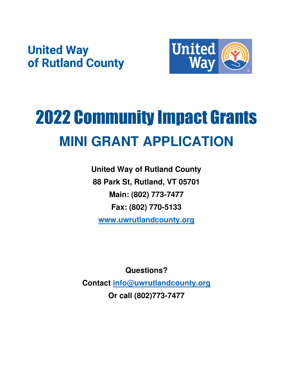## **United Way** of Rutland County



# 2022 Community Impact Grants **MINI GRANT APPLICATION**

**United Way of Rutland County 88 Park St, Rutland, VT 05701 Main: (802) 773-7477 Fax: (802) 770-5133 [www.uwrutlandcounty.org](http://www.uwrutlandcounty.org/)**

**Questions?** 

**Contact [info@uwrutlandcounty.org](mailto:info@uwrutlandcounty.org) Or call (802)773-7477**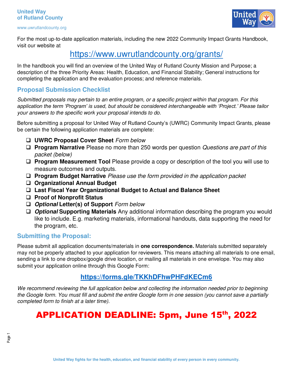#### **United Way of Rutland County**

www.uwrutlandcounty.org



For the most up-to-date application materials, including the new 2022 Community Impact Grants Handbook, visit our website at

## <https://www.uwrutlandcounty.org/grants/>

In the handbook you will find an overview of the United Way of Rutland County Mission and Purpose; a description of the three Priority Areas: Health, Education, and Financial Stability; General instructions for completing the application and the evaluation process; and reference materials.

#### **Proposal Submission Checklist**

*Submitted proposals may pertain to an entire program, or a specific project within that program. For this application the term 'Program' is used, but should be considered interchangeable with 'Project.' Please tailor your answers to the specific work your proposal intends to do.* 

Before submitting a proposal for United Way of Rutland County's (UWRC) Community Impact Grants, please be certain the following application materials are complete:

- ❑ **UWRC Proposal Cover Sheet** *Form below*
- ❑ **Program Narrative** Please no more than 250 words per question *Questions are part of this packet (below)*
- ❑ **Program Measurement Tool** Please provide a copy or description of the tool you will use to measure outcomes and outputs.
- ❑ **Program Budget Narrative** *Please use the form provided in the application packet*
- ❑ **Organizational Annual Budget**
- ❑ **Last Fiscal Year Organizational Budget to Actual and Balance Sheet**
- ❑ **Proof of Nonprofit Status**
- ❑ **Optional Letter(s) of Support** *Form below*
- ❑ **Optional Supporting Materials** Any additional information describing the program you would like to include. E.g. marketing materials, informational handouts, data supporting the need for the program, etc.

#### **Submitting the Proposal:**

Please submit all application documents/materials in **one correspondence.** Materials submitted separately may not be properly attached to your application for reviewers. This means attaching all materials to one email, sending a link to one dropbox/google drive location, or mailing all materials in one envelope. You may also submit your application online through this Google Form:

#### **<https://forms.gle/TKKhDFhwPHFdKECm6>**

*We recommend reviewing the full application below and collecting the information needed prior to beginning the Google form. You must fill and submit the entire Google form in one session (you cannot save a partially completed form to finish at a later time).* 

## APPLICATION DEADLINE: 5pm, June 15th, 2022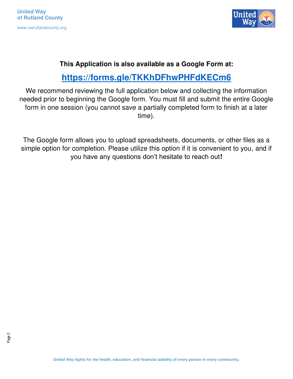**United Way of Rutland County**  www.uwrutlandcounty.org



### **This Application is also available as a Google Form at:**

## **<https://forms.gle/TKKhDFhwPHFdKECm6>**

We recommend reviewing the full application below and collecting the information needed prior to beginning the Google form. You must fill and submit the entire Google form in one session (you cannot save a partially completed form to finish at a later time).

The Google form allows you to upload spreadsheets, documents, or other files as a simple option for completion. Please utilize this option if it is convenient to you, and if you have any questions don't hesitate to reach out**!**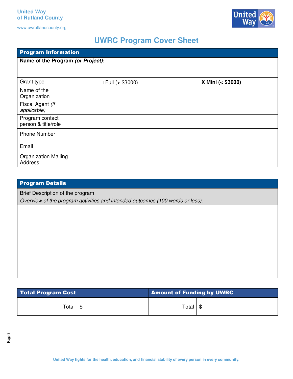

## **UWRC Program Cover Sheet**

| <b>Program Information</b>                    |                        |                   |
|-----------------------------------------------|------------------------|-------------------|
| Name of the Program (or Project):             |                        |                   |
|                                               |                        |                   |
| Grant type                                    | $\Box$ Full (> \$3000) | X Mini (< \$3000) |
| Name of the<br>Organization                   |                        |                   |
| Fiscal Agent (if<br>applicable)               |                        |                   |
| Program contact<br>person & title/role        |                        |                   |
| <b>Phone Number</b>                           |                        |                   |
| Email                                         |                        |                   |
| <b>Organization Mailing</b><br><b>Address</b> |                        |                   |

#### Program Details

Brief Description of the program

*Overview of the program activities and intended outcomes (100 words or less):* 

| <b>Total Program Cost</b> |      | <b>Amount of Funding by UWRC</b> |  |
|---------------------------|------|----------------------------------|--|
| Total I                   | - \$ | Total $\frac{1}{3}$              |  |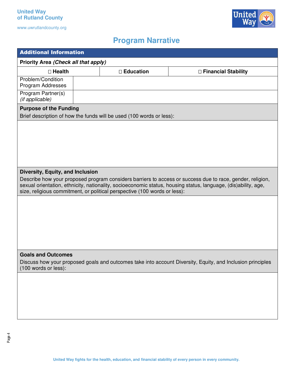

## **Program Narrative**

| <b>Additional Information</b>                                                                                                                                                                                                                                                                                                                |  |                                                                      |                       |
|----------------------------------------------------------------------------------------------------------------------------------------------------------------------------------------------------------------------------------------------------------------------------------------------------------------------------------------------|--|----------------------------------------------------------------------|-----------------------|
| Priority Area (Check all that apply)                                                                                                                                                                                                                                                                                                         |  |                                                                      |                       |
| $\square$ Health                                                                                                                                                                                                                                                                                                                             |  | $\square$ Education                                                  | □ Financial Stability |
| Problem/Condition<br>Program Addresses                                                                                                                                                                                                                                                                                                       |  |                                                                      |                       |
| Program Partner(s)<br>(if applicable)                                                                                                                                                                                                                                                                                                        |  |                                                                      |                       |
| <b>Purpose of the Funding</b>                                                                                                                                                                                                                                                                                                                |  | Brief description of how the funds will be used (100 words or less): |                       |
|                                                                                                                                                                                                                                                                                                                                              |  |                                                                      |                       |
| Diversity, Equity, and Inclusion<br>Describe how your proposed program considers barriers to access or success due to race, gender, religion,<br>sexual orientation, ethnicity, nationality, socioeconomic status, housing status, language, (dis)ability, age,<br>size, religious commitment, or political perspective (100 words or less): |  |                                                                      |                       |
|                                                                                                                                                                                                                                                                                                                                              |  |                                                                      |                       |
| <b>Goals and Outcomes</b><br>Discuss how your proposed goals and outcomes take into account Diversity, Equity, and Inclusion principles<br>(100 words or less):                                                                                                                                                                              |  |                                                                      |                       |
|                                                                                                                                                                                                                                                                                                                                              |  |                                                                      |                       |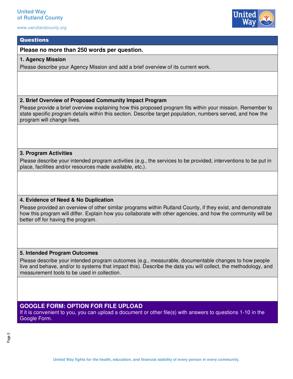#### **Questions**

**Please no more than 250 words per question.** 

#### **1. Agency Mission**

Please describe your Agency Mission and add a brief overview of its current work.

#### **2. Brief Overview of Proposed Community Impact Program**

Please provide a brief overview explaining how this proposed program fits within your mission. Remember to state specific program details within this section. Describe target population, numbers served, and how the program will change lives.

#### **3. Program Activities**

Please describe your intended program activities (e.g., the services to be provided, interventions to be put in place, facilities and/or resources made available, etc.).

#### **4. Evidence of Need & No Duplication**

Please provided an overview of other similar programs within Rutland County, if they exist, and demonstrate how this program will differ. Explain how you collaborate with other agencies, and how the community will be better off for having the program.

#### **5. Intended Program Outcomes**

Please describe your intended program outcomes (e.g., measurable, documentable changes to how people live and behave, and/or to systems that impact this). Describe the data you will collect, the methodology, and measurement tools to be used in collection.

#### **GOOGLE FORM: OPTION FOR FILE UPLOAD**

If it is convenient to you, you can upload a document or other file(s) with answers to questions 1-10 in the Google Form.

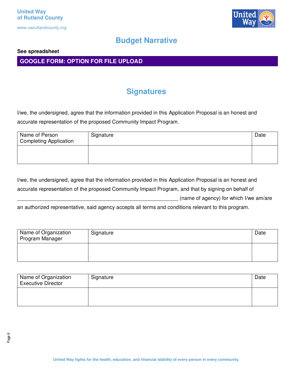

## **Budget Narrative**

#### **See spreadsheet**

**GOOGLE FORM: OPTION FOR FILE UPLOAD** 

## **Signatures**

I/we, the undersigned, agree that the information provided in this Application Proposal is an honest and accurate representation of the proposed Community Impact Program.

| Name of Person<br>Completing Application | Signature | Date |
|------------------------------------------|-----------|------|
|                                          |           |      |

I/we, the undersigned, agree that the information provided in this Application Proposal is an honest and accurate representation of the proposed Community Impact Program, and that by signing on behalf of (name of agency) for which I/we am/are

an authorized representative, said agency accepts all terms and conditions relevant to this program.

| Name of Organization<br>Program Manager | Signature | Date |
|-----------------------------------------|-----------|------|
|                                         |           |      |

| Name of Organization<br><b>Executive Director</b> | Signature | Date |
|---------------------------------------------------|-----------|------|
|                                                   |           |      |